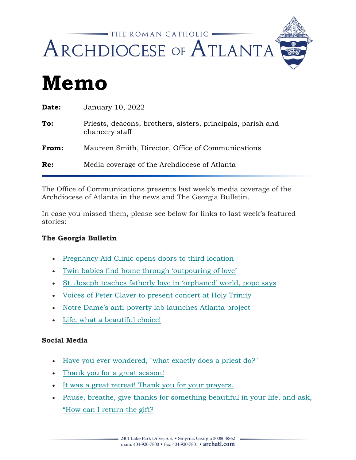

# **Memo**

| Date: | January 10, 2022                                                              |
|-------|-------------------------------------------------------------------------------|
| To:   | Priests, deacons, brothers, sisters, principals, parish and<br>chancery staff |
| From: | Maureen Smith, Director, Office of Communications                             |
| Re:   | Media coverage of the Archdiocese of Atlanta                                  |
|       |                                                                               |

The Office of Communications presents last week's media coverage of the Archdiocese of Atlanta in the news and The Georgia Bulletin*.*

In case you missed them, please see below for links to last week's featured stories:

#### **The Georgia Bulletin**

- [Pregnancy Aid Clinic opens doors to third location](https://archatl.us15.list-manage.com/track/click?u=e910c4ce1ad5971fa2da271da&id=9e8cf2170e&e=97be40fd27)
- [Twin babies find home through 'outpouring of love'](https://archatl.us15.list-manage.com/track/click?u=e910c4ce1ad5971fa2da271da&id=2eb5024e5c&e=97be40fd27)
- [St. Joseph teaches fatherly love in 'orphaned' world, pope says](https://archatl.us15.list-manage.com/track/click?u=e910c4ce1ad5971fa2da271da&id=1c1fcf1d78&e=97be40fd27)
- [Voices of Peter Claver to present concert at Holy Trinity](https://archatl.us15.list-manage.com/track/click?u=e910c4ce1ad5971fa2da271da&id=5a7e55de6e&e=97be40fd27)
- [Notre Dame's anti-poverty lab launches Atlanta project](https://archatl.us15.list-manage.com/track/click?u=e910c4ce1ad5971fa2da271da&id=514c46f783&e=97be40fd27)
- [Life, what a beautiful choice!](https://archatl.us15.list-manage.com/track/click?u=e910c4ce1ad5971fa2da271da&id=1132d192eb&e=97be40fd27)

#### **Social Media**

- [Have you ever wondered, "what exactly does](https://archatl.us15.list-manage.com/track/click?u=e910c4ce1ad5971fa2da271da&id=5a894b29fb&e=97be40fd27) a priest do?"
- [Thank you for a great season!](https://archatl.us15.list-manage.com/track/click?u=e910c4ce1ad5971fa2da271da&id=651a641793&e=97be40fd27)
- [It was a great retreat! Thank you for your prayers.](https://archatl.us15.list-manage.com/track/click?u=e910c4ce1ad5971fa2da271da&id=dbe4c4ab4e&e=97be40fd27)
- [Pause, breathe, give thanks for something beautiful in your life, and ask,](https://archatl.us15.list-manage.com/track/click?u=e910c4ce1ad5971fa2da271da&id=ff78d75819&e=97be40fd27)  ["How can I return the gift?](https://archatl.us15.list-manage.com/track/click?u=e910c4ce1ad5971fa2da271da&id=ff78d75819&e=97be40fd27)